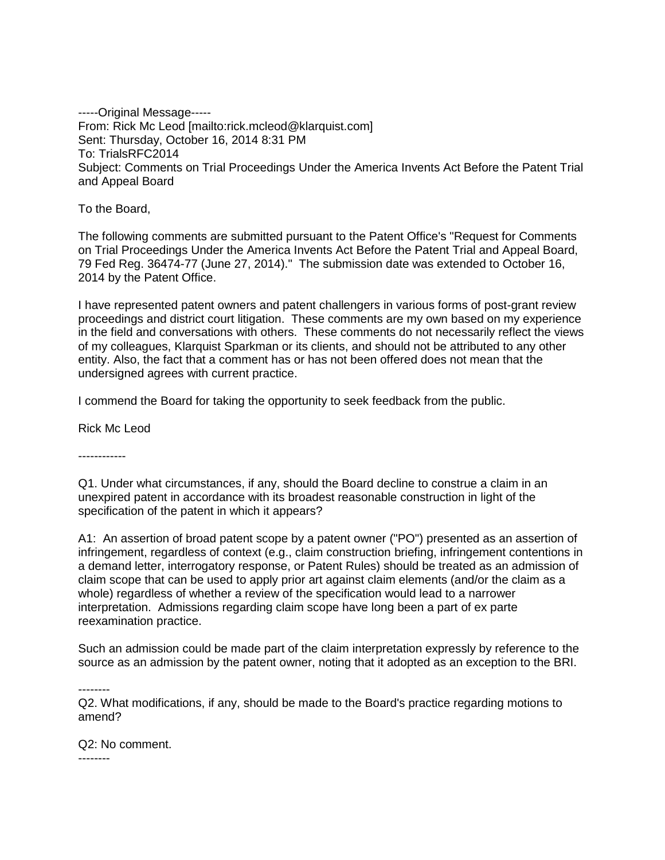-----Original Message----- From: Rick Mc Leod [mailto:rick.mcleod@klarquist.com] Sent: Thursday, October 16, 2014 8:31 PM To: TrialsRFC2014 Subject: Comments on Trial Proceedings Under the America Invents Act Before the Patent Trial and Appeal Board

To the Board,

The following comments are submitted pursuant to the Patent Office's "Request for Comments on Trial Proceedings Under the America Invents Act Before the Patent Trial and Appeal Board, 79 Fed Reg. 36474-77 (June 27, 2014)." The submission date was extended to October 16, 2014 by the Patent Office.

I have represented patent owners and patent challengers in various forms of post-grant review proceedings and district court litigation. These comments are my own based on my experience in the field and conversations with others. These comments do not necessarily reflect the views of my colleagues, Klarquist Sparkman or its clients, and should not be attributed to any other entity. Also, the fact that a comment has or has not been offered does not mean that the undersigned agrees with current practice.

I commend the Board for taking the opportunity to seek feedback from the public.

Rick Mc Leod

------------

Q1. Under what circumstances, if any, should the Board decline to construe a claim in an unexpired patent in accordance with its broadest reasonable construction in light of the specification of the patent in which it appears?

A1: An assertion of broad patent scope by a patent owner ("PO") presented as an assertion of infringement, regardless of context (e.g., claim construction briefing, infringement contentions in a demand letter, interrogatory response, or Patent Rules) should be treated as an admission of claim scope that can be used to apply prior art against claim elements (and/or the claim as a whole) regardless of whether a review of the specification would lead to a narrower interpretation. Admissions regarding claim scope have long been a part of ex parte reexamination practice.

Such an admission could be made part of the claim interpretation expressly by reference to the source as an admission by the patent owner, noting that it adopted as an exception to the BRI.

--------

Q2. What modifications, if any, should be made to the Board's practice regarding motions to amend?

Q2: No comment. --------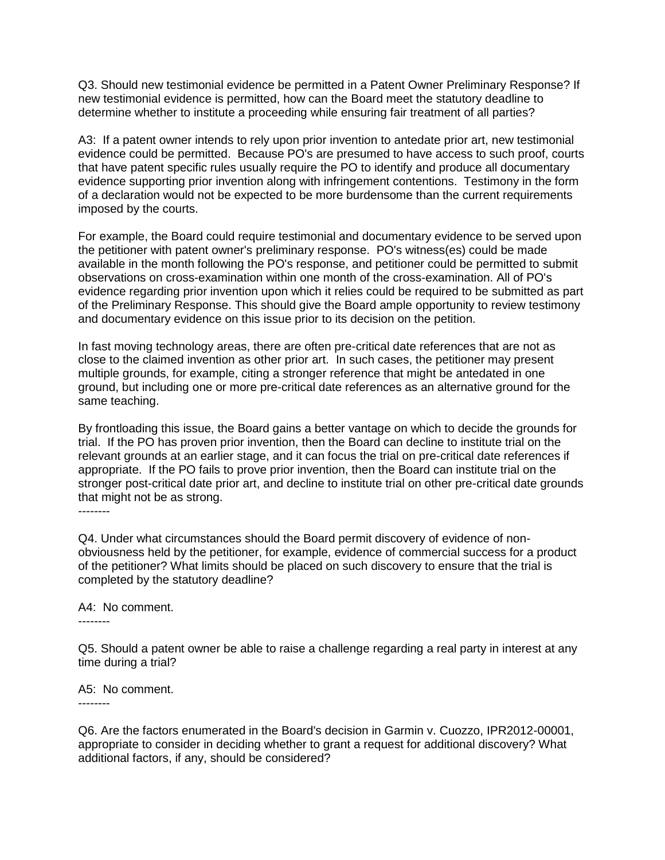Q3. Should new testimonial evidence be permitted in a Patent Owner Preliminary Response? If new testimonial evidence is permitted, how can the Board meet the statutory deadline to determine whether to institute a proceeding while ensuring fair treatment of all parties?

A3: If a patent owner intends to rely upon prior invention to antedate prior art, new testimonial evidence could be permitted. Because PO's are presumed to have access to such proof, courts that have patent specific rules usually require the PO to identify and produce all documentary evidence supporting prior invention along with infringement contentions. Testimony in the form of a declaration would not be expected to be more burdensome than the current requirements imposed by the courts.

For example, the Board could require testimonial and documentary evidence to be served upon the petitioner with patent owner's preliminary response. PO's witness(es) could be made available in the month following the PO's response, and petitioner could be permitted to submit observations on cross-examination within one month of the cross-examination. All of PO's evidence regarding prior invention upon which it relies could be required to be submitted as part of the Preliminary Response. This should give the Board ample opportunity to review testimony and documentary evidence on this issue prior to its decision on the petition.

In fast moving technology areas, there are often pre-critical date references that are not as close to the claimed invention as other prior art. In such cases, the petitioner may present multiple grounds, for example, citing a stronger reference that might be antedated in one ground, but including one or more pre-critical date references as an alternative ground for the same teaching.

By frontloading this issue, the Board gains a better vantage on which to decide the grounds for trial. If the PO has proven prior invention, then the Board can decline to institute trial on the relevant grounds at an earlier stage, and it can focus the trial on pre-critical date references if appropriate. If the PO fails to prove prior invention, then the Board can institute trial on the stronger post-critical date prior art, and decline to institute trial on other pre-critical date grounds that might not be as strong.

--------

Q4. Under what circumstances should the Board permit discovery of evidence of nonobviousness held by the petitioner, for example, evidence of commercial success for a product of the petitioner? What limits should be placed on such discovery to ensure that the trial is completed by the statutory deadline?

## A4: No comment.

--------

Q5. Should a patent owner be able to raise a challenge regarding a real party in interest at any time during a trial?

A5: No comment. --------

Q6. Are the factors enumerated in the Board's decision in Garmin v. Cuozzo, IPR2012-00001, appropriate to consider in deciding whether to grant a request for additional discovery? What additional factors, if any, should be considered?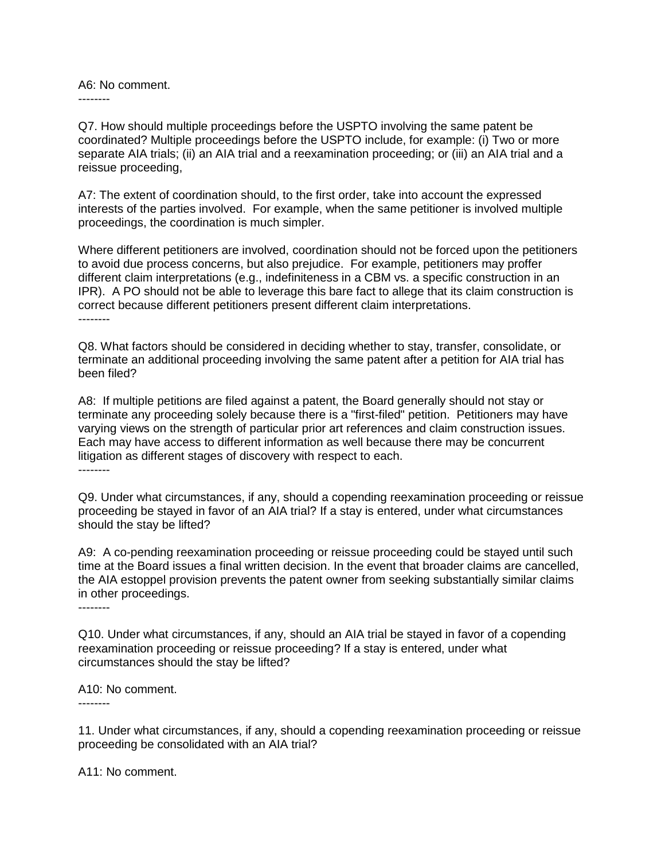A6: No comment. --------

Q7. How should multiple proceedings before the USPTO involving the same patent be coordinated? Multiple proceedings before the USPTO include, for example: (i) Two or more separate AIA trials; (ii) an AIA trial and a reexamination proceeding; or (iii) an AIA trial and a reissue proceeding,

A7: The extent of coordination should, to the first order, take into account the expressed interests of the parties involved. For example, when the same petitioner is involved multiple proceedings, the coordination is much simpler.

Where different petitioners are involved, coordination should not be forced upon the petitioners to avoid due process concerns, but also prejudice. For example, petitioners may proffer different claim interpretations (e.g., indefiniteness in a CBM vs. a specific construction in an IPR). A PO should not be able to leverage this bare fact to allege that its claim construction is correct because different petitioners present different claim interpretations. --------

Q8. What factors should be considered in deciding whether to stay, transfer, consolidate, or terminate an additional proceeding involving the same patent after a petition for AIA trial has been filed?

A8: If multiple petitions are filed against a patent, the Board generally should not stay or terminate any proceeding solely because there is a "first-filed" petition. Petitioners may have varying views on the strength of particular prior art references and claim construction issues. Each may have access to different information as well because there may be concurrent litigation as different stages of discovery with respect to each. --------

Q9. Under what circumstances, if any, should a copending reexamination proceeding or reissue proceeding be stayed in favor of an AIA trial? If a stay is entered, under what circumstances should the stay be lifted?

A9: A co-pending reexamination proceeding or reissue proceeding could be stayed until such time at the Board issues a final written decision. In the event that broader claims are cancelled, the AIA estoppel provision prevents the patent owner from seeking substantially similar claims in other proceedings. --------

Q10. Under what circumstances, if any, should an AIA trial be stayed in favor of a copending reexamination proceeding or reissue proceeding? If a stay is entered, under what circumstances should the stay be lifted?

A10: No comment.

--------

11. Under what circumstances, if any, should a copending reexamination proceeding or reissue proceeding be consolidated with an AIA trial?

A11: No comment.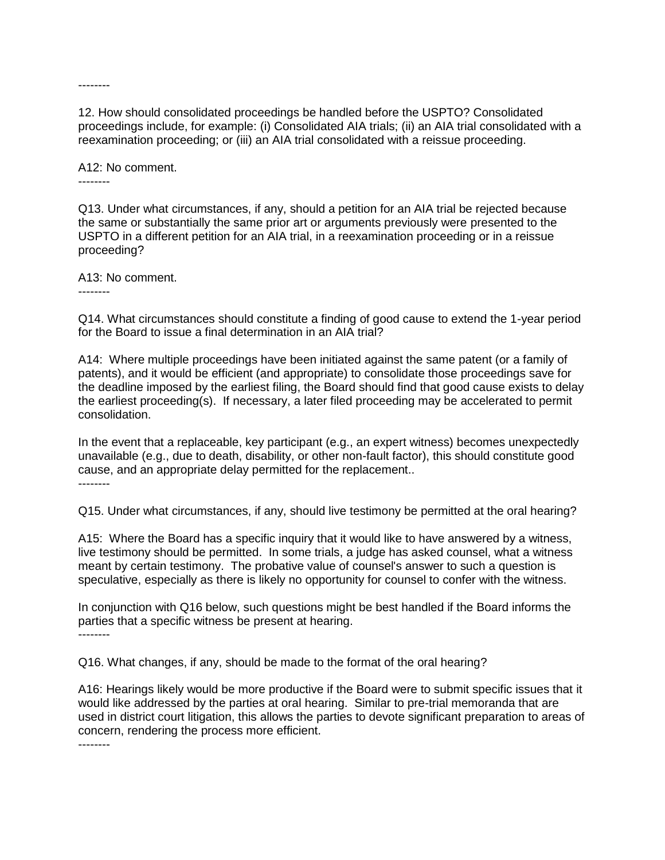--------

12. How should consolidated proceedings be handled before the USPTO? Consolidated proceedings include, for example: (i) Consolidated AIA trials; (ii) an AIA trial consolidated with a reexamination proceeding; or (iii) an AIA trial consolidated with a reissue proceeding.

A12: No comment. --------

Q13. Under what circumstances, if any, should a petition for an AIA trial be rejected because the same or substantially the same prior art or arguments previously were presented to the USPTO in a different petition for an AIA trial, in a reexamination proceeding or in a reissue proceeding?

A13: No comment.

--------

Q14. What circumstances should constitute a finding of good cause to extend the 1-year period for the Board to issue a final determination in an AIA trial?

A14: Where multiple proceedings have been initiated against the same patent (or a family of patents), and it would be efficient (and appropriate) to consolidate those proceedings save for the deadline imposed by the earliest filing, the Board should find that good cause exists to delay the earliest proceeding(s). If necessary, a later filed proceeding may be accelerated to permit consolidation.

In the event that a replaceable, key participant (e.g., an expert witness) becomes unexpectedly unavailable (e.g., due to death, disability, or other non-fault factor), this should constitute good cause, and an appropriate delay permitted for the replacement.. --------

Q15. Under what circumstances, if any, should live testimony be permitted at the oral hearing?

A15: Where the Board has a specific inquiry that it would like to have answered by a witness, live testimony should be permitted. In some trials, a judge has asked counsel, what a witness meant by certain testimony. The probative value of counsel's answer to such a question is speculative, especially as there is likely no opportunity for counsel to confer with the witness.

In conjunction with Q16 below, such questions might be best handled if the Board informs the parties that a specific witness be present at hearing. --------

Q16. What changes, if any, should be made to the format of the oral hearing?

A16: Hearings likely would be more productive if the Board were to submit specific issues that it would like addressed by the parties at oral hearing. Similar to pre-trial memoranda that are used in district court litigation, this allows the parties to devote significant preparation to areas of concern, rendering the process more efficient.

--------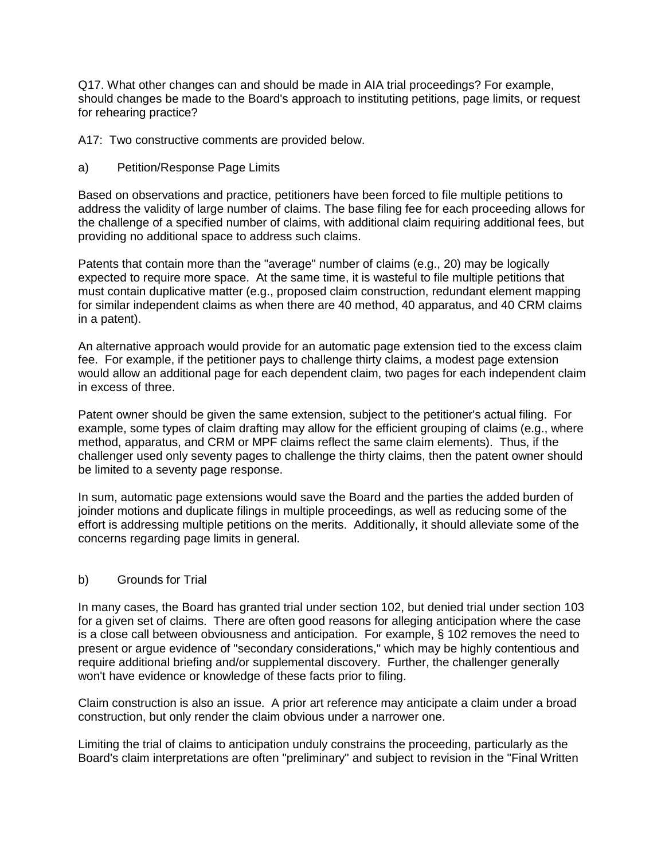Q17. What other changes can and should be made in AIA trial proceedings? For example, should changes be made to the Board's approach to instituting petitions, page limits, or request for rehearing practice?

A17: Two constructive comments are provided below.

a) Petition/Response Page Limits

Based on observations and practice, petitioners have been forced to file multiple petitions to address the validity of large number of claims. The base filing fee for each proceeding allows for the challenge of a specified number of claims, with additional claim requiring additional fees, but providing no additional space to address such claims.

Patents that contain more than the "average" number of claims (e.g., 20) may be logically expected to require more space. At the same time, it is wasteful to file multiple petitions that must contain duplicative matter (e.g., proposed claim construction, redundant element mapping for similar independent claims as when there are 40 method, 40 apparatus, and 40 CRM claims in a patent).

An alternative approach would provide for an automatic page extension tied to the excess claim fee. For example, if the petitioner pays to challenge thirty claims, a modest page extension would allow an additional page for each dependent claim, two pages for each independent claim in excess of three.

Patent owner should be given the same extension, subject to the petitioner's actual filing. For example, some types of claim drafting may allow for the efficient grouping of claims (e.g., where method, apparatus, and CRM or MPF claims reflect the same claim elements). Thus, if the challenger used only seventy pages to challenge the thirty claims, then the patent owner should be limited to a seventy page response.

In sum, automatic page extensions would save the Board and the parties the added burden of joinder motions and duplicate filings in multiple proceedings, as well as reducing some of the effort is addressing multiple petitions on the merits. Additionally, it should alleviate some of the concerns regarding page limits in general.

## b) Grounds for Trial

In many cases, the Board has granted trial under section 102, but denied trial under section 103 for a given set of claims. There are often good reasons for alleging anticipation where the case is a close call between obviousness and anticipation. For example, § 102 removes the need to present or argue evidence of "secondary considerations," which may be highly contentious and require additional briefing and/or supplemental discovery. Further, the challenger generally won't have evidence or knowledge of these facts prior to filing.

Claim construction is also an issue. A prior art reference may anticipate a claim under a broad construction, but only render the claim obvious under a narrower one.

Limiting the trial of claims to anticipation unduly constrains the proceeding, particularly as the Board's claim interpretations are often "preliminary" and subject to revision in the "Final Written